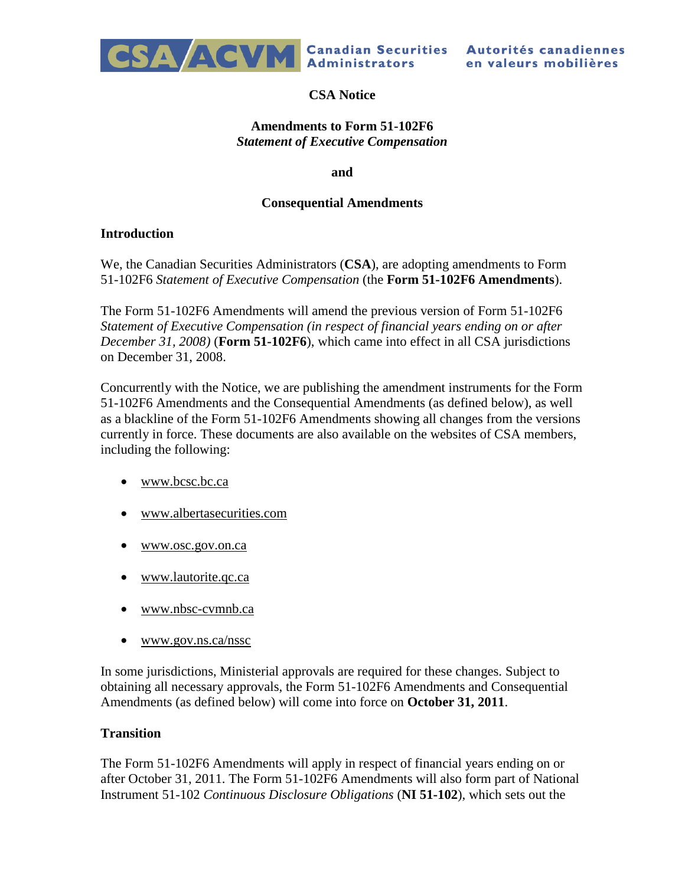

# **CSA Notice**

#### **Amendments to Form 51-102F6** *Statement of Executive Compensation*

**and**

#### **Consequential Amendments**

#### **Introduction**

We, the Canadian Securities Administrators (**CSA**), are adopting amendments to Form 51-102F6 *Statement of Executive Compensation* (the **Form 51-102F6 Amendments**).

The Form 51-102F6 Amendments will amend the previous version of Form 51-102F6 *Statement of Executive Compensation (in respect of financial years ending on or after December 31, 2008)* (**Form 51-102F6**), which came into effect in all CSA jurisdictions on December 31, 2008.

Concurrently with the Notice, we are publishing the amendment instruments for the Form 51-102F6 Amendments and the Consequential Amendments (as defined below), as well as a blackline of the Form 51-102F6 Amendments showing all changes from the versions currently in force. These documents are also available on the websites of CSA members, including the following:

- [www.bcsc.bc.ca](http://www.bcsc.bc.ca/)
- [www.albertasecurities.com](http://www.albertasecurities.com/)
- [www.osc.gov.on.ca](http://www.osc.gov.on.ca/)
- [www.lautorite.qc.ca](http://www.lautorite.qc.ca/)
- [www.nbsc-cvmnb.ca](http://www.nbsc-cvmnb.ca/)
- [www.gov.ns.ca/nssc](http://www.gov.ns.ca/nssc)

In some jurisdictions, Ministerial approvals are required for these changes. Subject to obtaining all necessary approvals, the Form 51-102F6 Amendments and Consequential Amendments (as defined below) will come into force on **October 31, 2011**.

## **Transition**

The Form 51-102F6 Amendments will apply in respect of financial years ending on or after October 31, 2011. The Form 51-102F6 Amendments will also form part of National Instrument 51-102 *Continuous Disclosure Obligations* (**NI 51-102**), which sets out the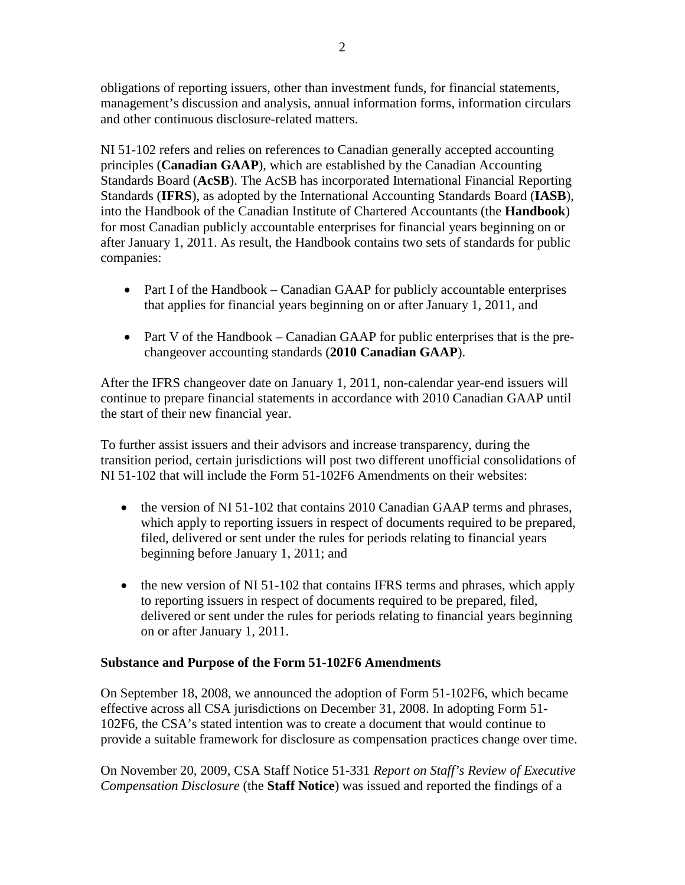obligations of reporting issuers, other than investment funds, for financial statements, management's discussion and analysis, annual information forms, information circulars and other continuous disclosure-related matters.

NI 51-102 refers and relies on references to Canadian generally accepted accounting principles (**Canadian GAAP**), which are established by the Canadian Accounting Standards Board (**AcSB**). The AcSB has incorporated International Financial Reporting Standards (**IFRS**), as adopted by the International Accounting Standards Board (**IASB**), into the Handbook of the Canadian Institute of Chartered Accountants (the **Handbook**) for most Canadian publicly accountable enterprises for financial years beginning on or after January 1, 2011. As result, the Handbook contains two sets of standards for public companies:

- Part I of the Handbook Canadian GAAP for publicly accountable enterprises that applies for financial years beginning on or after January 1, 2011, and
- Part V of the Handbook Canadian GAAP for public enterprises that is the prechangeover accounting standards (**2010 Canadian GAAP**).

After the IFRS changeover date on January 1, 2011, non-calendar year-end issuers will continue to prepare financial statements in accordance with 2010 Canadian GAAP until the start of their new financial year.

To further assist issuers and their advisors and increase transparency, during the transition period, certain jurisdictions will post two different unofficial consolidations of NI 51-102 that will include the Form 51-102F6 Amendments on their websites:

- the version of NI 51-102 that contains 2010 Canadian GAAP terms and phrases, which apply to reporting issuers in respect of documents required to be prepared, filed, delivered or sent under the rules for periods relating to financial years beginning before January 1, 2011; and
- $\bullet$  the new version of NI 51-102 that contains IFRS terms and phrases, which apply to reporting issuers in respect of documents required to be prepared, filed, delivered or sent under the rules for periods relating to financial years beginning on or after January 1, 2011.

## **Substance and Purpose of the Form 51-102F6 Amendments**

On September 18, 2008, we announced the adoption of Form 51-102F6, which became effective across all CSA jurisdictions on December 31, 2008. In adopting Form 51- 102F6, the CSA's stated intention was to create a document that would continue to provide a suitable framework for disclosure as compensation practices change over time.

On November 20, 2009, CSA Staff Notice 51-331 *Report on Staff's Review of Executive Compensation Disclosure* (the **Staff Notice**) was issued and reported the findings of a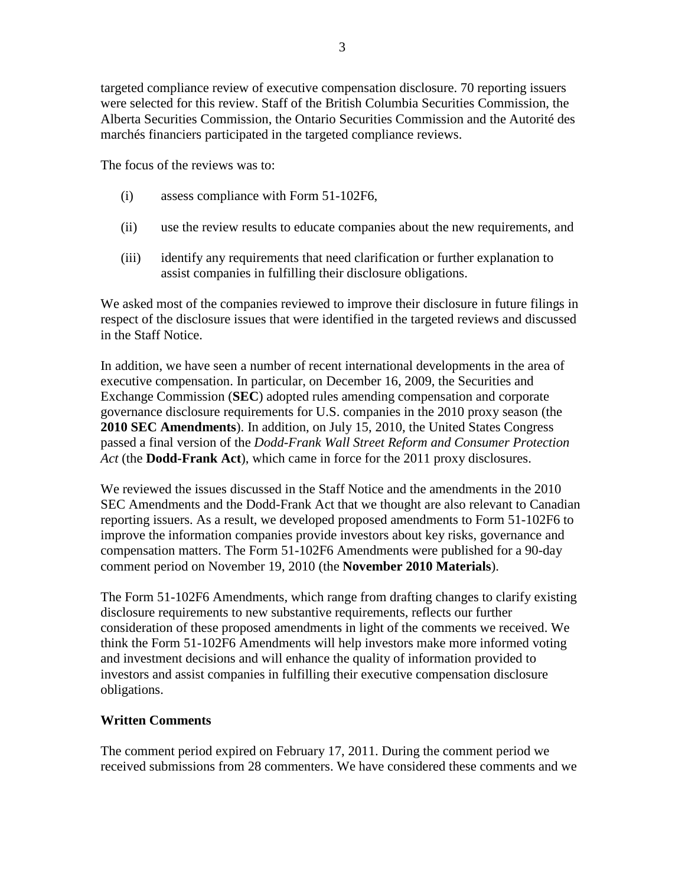targeted compliance review of executive compensation disclosure. 70 reporting issuers were selected for this review. Staff of the British Columbia Securities Commission, the Alberta Securities Commission, the Ontario Securities Commission and the Autorité des marchés financiers participated in the targeted compliance reviews.

The focus of the reviews was to:

- (i) assess compliance with Form 51-102F6,
- (ii) use the review results to educate companies about the new requirements, and
- (iii) identify any requirements that need clarification or further explanation to assist companies in fulfilling their disclosure obligations.

We asked most of the companies reviewed to improve their disclosure in future filings in respect of the disclosure issues that were identified in the targeted reviews and discussed in the Staff Notice.

In addition, we have seen a number of recent international developments in the area of executive compensation. In particular, on December 16, 2009, the Securities and Exchange Commission (**SEC**) adopted rules amending compensation and corporate governance disclosure requirements for U.S. companies in the 2010 proxy season (the **2010 SEC Amendments**). In addition, on July 15, 2010, the United States Congress passed a final version of the *Dodd-Frank Wall Street Reform and Consumer Protection Act* (the **Dodd-Frank Act**), which came in force for the 2011 proxy disclosures.

We reviewed the issues discussed in the Staff Notice and the amendments in the 2010 SEC Amendments and the Dodd-Frank Act that we thought are also relevant to Canadian reporting issuers. As a result, we developed proposed amendments to Form 51-102F6 to improve the information companies provide investors about key risks, governance and compensation matters. The Form 51-102F6 Amendments were published for a 90-day comment period on November 19, 2010 (the **November 2010 Materials**).

The Form 51-102F6 Amendments, which range from drafting changes to clarify existing disclosure requirements to new substantive requirements, reflects our further consideration of these proposed amendments in light of the comments we received. We think the Form 51-102F6 Amendments will help investors make more informed voting and investment decisions and will enhance the quality of information provided to investors and assist companies in fulfilling their executive compensation disclosure obligations.

#### **Written Comments**

The comment period expired on February 17, 2011. During the comment period we received submissions from 28 commenters. We have considered these comments and we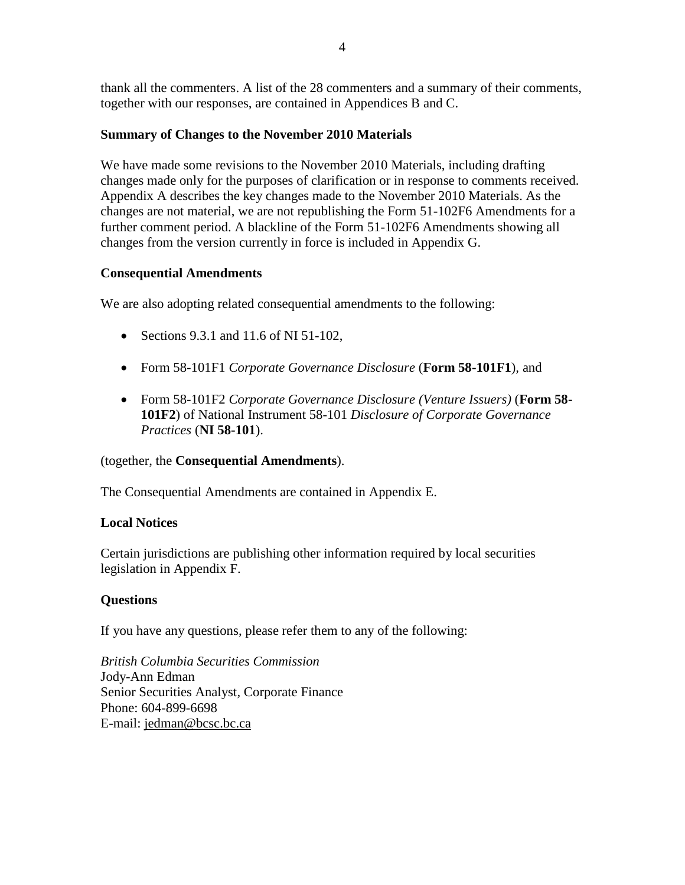thank all the commenters. A list of the 28 commenters and a summary of their comments, together with our responses, are contained in Appendices B and C.

### **Summary of Changes to the November 2010 Materials**

We have made some revisions to the November 2010 Materials, including drafting changes made only for the purposes of clarification or in response to comments received. Appendix A describes the key changes made to the November 2010 Materials. As the changes are not material, we are not republishing the Form 51-102F6 Amendments for a further comment period. A blackline of the Form 51-102F6 Amendments showing all changes from the version currently in force is included in Appendix G.

### **Consequential Amendments**

We are also adopting related consequential amendments to the following:

- Sections  $9.3.1$  and  $11.6$  of NI  $51-102$ ,
- Form 58-101F1 *Corporate Governance Disclosure* (**Form 58-101F1**)*,* and
- Form 58-101F2 *Corporate Governance Disclosure (Venture Issuers)* (**Form 58- 101F2**) of National Instrument 58-101 *Disclosure of Corporate Governance Practices* (**NI 58-101**).

(together, the **Consequential Amendments**).

The Consequential Amendments are contained in Appendix E.

## **Local Notices**

Certain jurisdictions are publishing other information required by local securities legislation in Appendix F.

## **Questions**

If you have any questions, please refer them to any of the following:

*British Columbia Securities Commission* Jody-Ann Edman Senior Securities Analyst, Corporate Finance Phone: 604-899-6698 E-mail: [jedman@bcsc.bc.ca](mailto:jedman@bcsc.bc.ca)